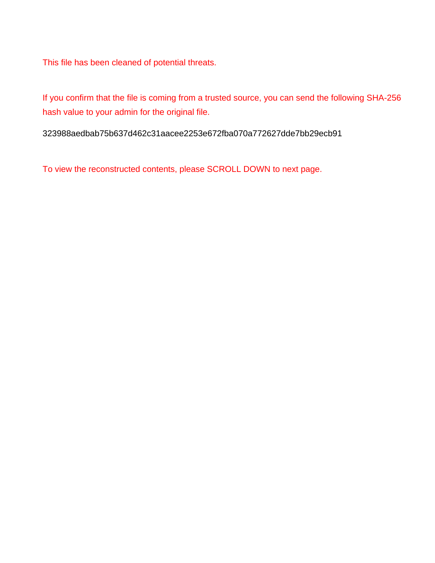This file has been cleaned of potential threats.

If you confirm that the file is coming from a trusted source, you can send the following SHA-256 hash value to your admin for the original file.

323988aedbab75b637d462c31aacee2253e672fba070a772627dde7bb29ecb91

To view the reconstructed contents, please SCROLL DOWN to next page.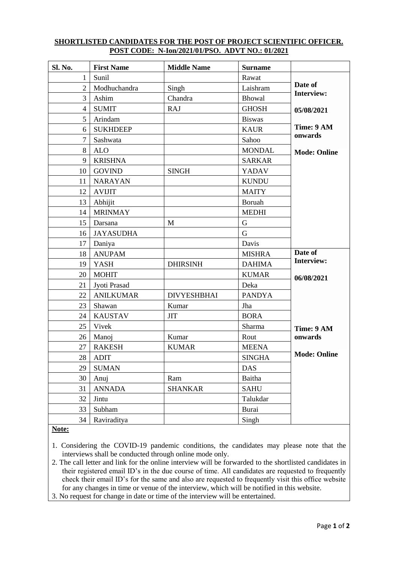|                                                 |  |  | <b>SHORTLISTED CANDIDATES FOR THE POST OF PROJECT SCIENTIFIC OFFICER.</b> |
|-------------------------------------------------|--|--|---------------------------------------------------------------------------|
| POST CODE: N-Ion/2021/01/PSO. ADVT NO.: 01/2021 |  |  |                                                                           |

| Sl. No.        | <b>First Name</b> | <b>Middle Name</b> | <b>Surname</b>   |                              |  |
|----------------|-------------------|--------------------|------------------|------------------------------|--|
| 1              | Sunil             |                    | Rawat            |                              |  |
| $\overline{2}$ | Modhuchandra      | Singh              | Laishram         | Date of<br><b>Interview:</b> |  |
| 3              | Ashim             | Chandra            | Bhowal           |                              |  |
| $\overline{4}$ | <b>SUMIT</b>      | <b>RAJ</b>         | <b>GHOSH</b>     | 05/08/2021                   |  |
| 5              | Arindam           |                    | <b>Biswas</b>    |                              |  |
| 6              | <b>SUKHDEEP</b>   |                    | <b>KAUR</b>      | Time: 9 AM                   |  |
| $\overline{7}$ | Sashwata          |                    | onwards<br>Sahoo |                              |  |
| 8              | <b>ALO</b>        |                    | <b>MONDAL</b>    | <b>Mode: Online</b>          |  |
| 9              | <b>KRISHNA</b>    |                    | <b>SARKAR</b>    |                              |  |
| 10             | <b>GOVIND</b>     | <b>SINGH</b>       | <b>YADAV</b>     |                              |  |
| 11             | <b>NARAYAN</b>    |                    | <b>KUNDU</b>     |                              |  |
| 12             | <b>AVIJIT</b>     |                    | <b>MAITY</b>     |                              |  |
| 13             | Abhijit           |                    | Boruah           |                              |  |
| 14             | <b>MRINMAY</b>    |                    | <b>MEDHI</b>     |                              |  |
| 15             | Darsana           | M                  | $\mathbf G$      |                              |  |
| 16             | <b>JAYASUDHA</b>  |                    | G                |                              |  |
| 17             | Daniya            |                    | Davis            |                              |  |
| 18             | <b>ANUPAM</b>     |                    | <b>MISHRA</b>    | Date of                      |  |
| 19             | <b>YASH</b>       | <b>DHIRSINH</b>    | <b>DAHIMA</b>    | Interview:                   |  |
| 20             | <b>MOHIT</b>      |                    | <b>KUMAR</b>     | 06/08/2021                   |  |
| 21             | Jyoti Prasad      |                    | Deka             |                              |  |
| 22             | <b>ANILKUMAR</b>  | <b>DIVYESHBHAI</b> | <b>PANDYA</b>    |                              |  |
| 23             | Shawan            | Kumar              | Jha              |                              |  |
| 24             | <b>KAUSTAV</b>    | <b>JIT</b>         | <b>BORA</b>      |                              |  |
| 25             | Vivek             |                    | Sharma           | Time: 9 AM                   |  |
| 26             | Manoj             | Kumar              | Rout             | onwards                      |  |
| 27             | <b>RAKESH</b>     | <b>KUMAR</b>       | <b>MEENA</b>     |                              |  |
| 28             | <b>ADIT</b>       |                    | <b>SINGHA</b>    | <b>Mode: Online</b>          |  |
| 29             | <b>SUMAN</b>      |                    | <b>DAS</b>       |                              |  |
| 30             | Anuj              | Ram                | Baitha           |                              |  |
| 31             | <b>ANNADA</b>     | <b>SHANKAR</b>     | <b>SAHU</b>      |                              |  |
| 32             | Jintu             |                    | Talukdar         |                              |  |
| 33             | Subham            |                    | Burai            |                              |  |
| 34             | Raviraditya       |                    | Singh            |                              |  |

**Note:**

1. Considering the COVID-19 pandemic conditions, the candidates may please note that the interviews shall be conducted through online mode only.

2. The call letter and link for the online interview will be forwarded to the shortlisted candidates in their registered email ID's in the due course of time. All candidates are requested to frequently check their email ID's for the same and also are requested to frequently visit this office website for any changes in time or venue of the interview, which will be notified in this website.

3. No request for change in date or time of the interview will be entertained.